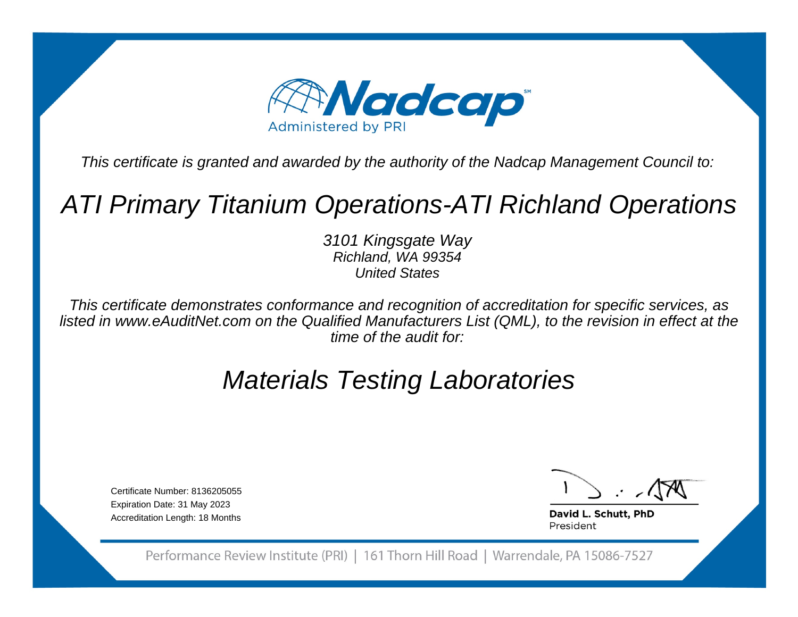

This certificate is granted and awarded by the authority of the Nadcap Management Council to:

# ATI Primary Titanium Operations-ATI Richland Operations

3101 Kingsgate WayRichland, WA 99354United States

This certificate demonstrates conformance and recognition of accreditation for specific services, as listed in www.eAuditNet.com on the Qualified Manufacturers List (QML), to the revision in effect at thetime of the audit for:

# Materials Testing Laboratories

Certificate Number: 8136205055Expiration Date: 31 May 2023Accreditation Length: 18 Months

David L. Schutt, PhD President

Performance Review Institute (PRI) | 161 Thorn Hill Road | Warrendale, PA 15086-7527